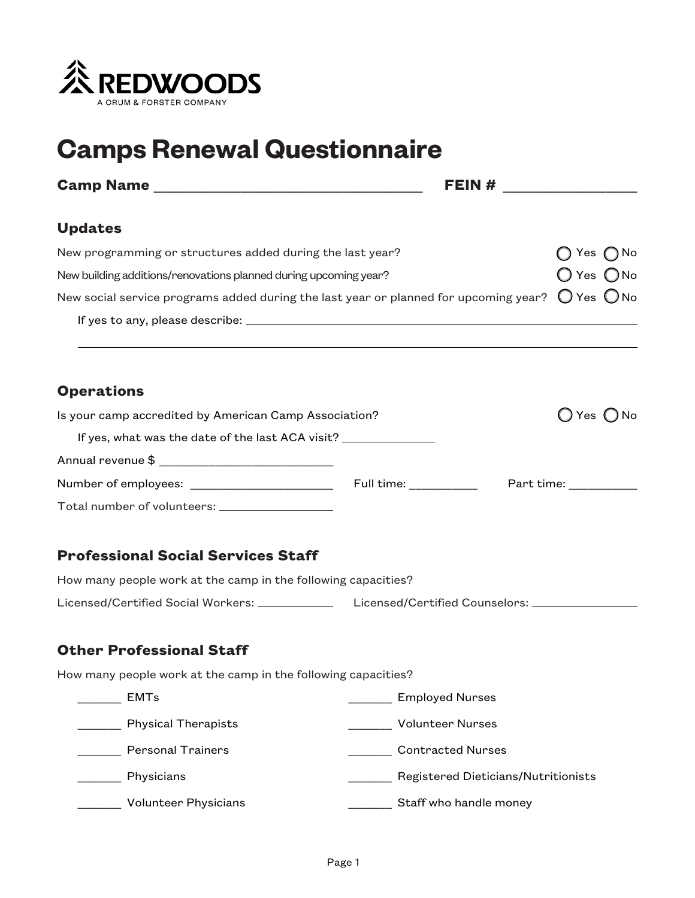

# **Camps Renewal Questionnaire**

|                                                                                                                       | FEIN # $\qquad \qquad$              |                              |
|-----------------------------------------------------------------------------------------------------------------------|-------------------------------------|------------------------------|
| <b>Updates</b>                                                                                                        |                                     |                              |
| New programming or structures added during the last year?                                                             |                                     | Yes $\bigcap$ No             |
| New building additions/renovations planned during upcoming year?                                                      | O Yes ONo                           |                              |
| New social service programs added during the last year or planned for upcoming year? $\;\bigcirc$ Yes $\;\bigcirc$ No |                                     |                              |
|                                                                                                                       |                                     |                              |
| <b>Operations</b>                                                                                                     |                                     |                              |
| Is your camp accredited by American Camp Association?                                                                 |                                     | $\bigcirc$ Yes $\bigcirc$ No |
| If yes, what was the date of the last ACA visit? _______________________________                                      |                                     |                              |
|                                                                                                                       |                                     |                              |
|                                                                                                                       |                                     |                              |
| Total number of volunteers: __________________                                                                        |                                     |                              |
| <b>Professional Social Services Staff</b>                                                                             |                                     |                              |
| How many people work at the camp in the following capacities?                                                         |                                     |                              |
| Licensed/Certified Social Workers: _______________ Licensed/Certified Counselors: ________________                    |                                     |                              |
| <b>Other Professional Staff</b>                                                                                       |                                     |                              |
| How many people work at the camp in the following capacities?                                                         |                                     |                              |
| <b>EMTs</b>                                                                                                           | <b>Employed Nurses</b>              |                              |
| <b>Physical Therapists</b>                                                                                            | <b>Volunteer Nurses</b>             |                              |
| <b>Personal Trainers</b>                                                                                              | <b>Contracted Nurses</b>            |                              |
| Physicians                                                                                                            | Registered Dieticians/Nutritionists |                              |
| Volunteer Physicians                                                                                                  | Staff who handle money              |                              |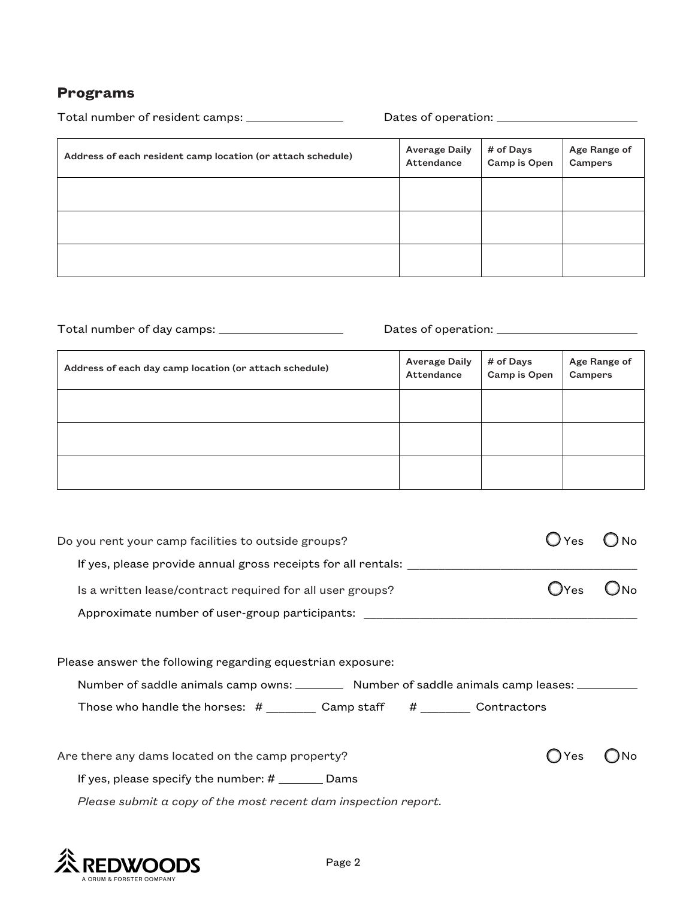#### **Programs**

| Total number of resident camps: ________________            |                                    |                           |                         |
|-------------------------------------------------------------|------------------------------------|---------------------------|-------------------------|
| Address of each resident camp location (or attach schedule) | <b>Average Daily</b><br>Attendance | # of Days<br>Camp is Open | Age Range of<br>Campers |
|                                                             |                                    |                           |                         |
|                                                             |                                    |                           |                         |
|                                                             |                                    |                           |                         |

Total number of day camps: Dates of operation:

| Address of each day camp location (or attach schedule) | <b>Average Daily</b><br>Attendance | # of Days<br>Camp is Open | Age Range of<br>Campers |
|--------------------------------------------------------|------------------------------------|---------------------------|-------------------------|
|                                                        |                                    |                           |                         |
|                                                        |                                    |                           |                         |
|                                                        |                                    |                           |                         |

| Do you rent your camp facilities to outside groups?                                    |     |  |
|----------------------------------------------------------------------------------------|-----|--|
| If yes, please provide annual gross receipts for all rentals:                          |     |  |
| Is a written lease/contract required for all user groups?                              | Yes |  |
| Approximate number of user-group participants:                                         |     |  |
|                                                                                        |     |  |
| Please answer the following regarding equestrian exposure:                             |     |  |
| Number of saddle animals camp owns: __________ Number of saddle animals camp leases: _ |     |  |
| Those who handle the horses: # _________ Camp staff # _________ Contractors            |     |  |
|                                                                                        |     |  |
| Are there any dams located on the camp property?                                       | Yes |  |
| If yes, please specify the number: $#$ ___________ Dams                                |     |  |
| Please submit a copy of the most recent dam inspection report.                         |     |  |
|                                                                                        |     |  |

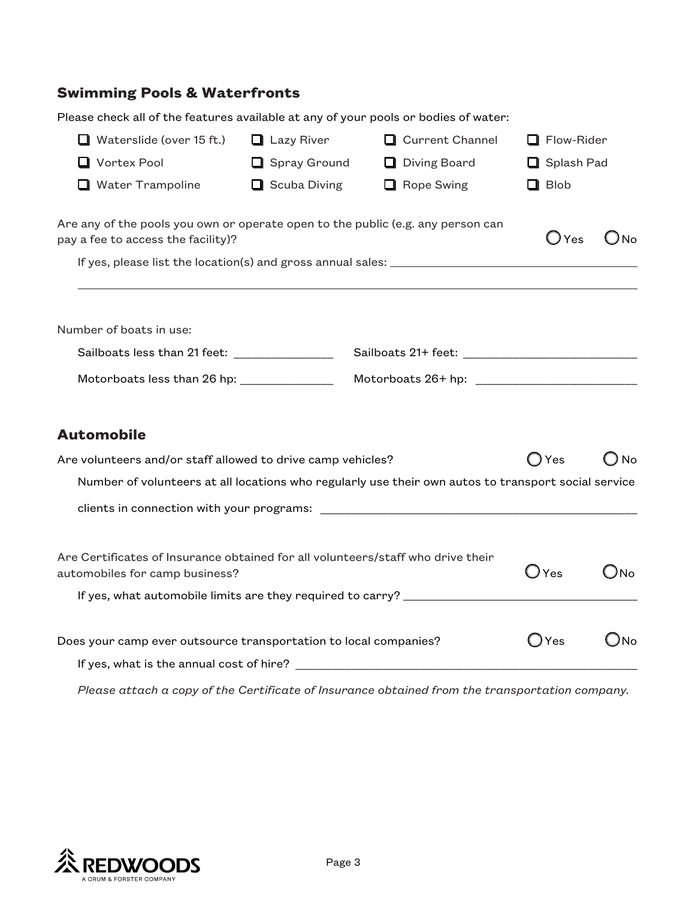## **Swimming Pools & Waterfronts**

| Please check all of the features available at any of your pools or bodies of water:                                   |                     |                   |                |               |
|-----------------------------------------------------------------------------------------------------------------------|---------------------|-------------------|----------------|---------------|
| $\Box$ Waterslide (over 15 ft.)                                                                                       | $\Box$ Lazy River   | Current Channel   | Flow-Rider     |               |
| Vortex Pool                                                                                                           | <b>Spray Ground</b> | □ Diving Board    | Splash Pad     |               |
| $\Box$ Water Trampoline                                                                                               | $\Box$ Scuba Diving | $\Box$ Rope Swing | $\Box$ Blob    |               |
| Are any of the pools you own or operate open to the public (e.g. any person can<br>pay a fee to access the facility)? |                     |                   | $\bigcup$ Yes  | Ono           |
|                                                                                                                       |                     |                   |                |               |
| Number of boats in use:                                                                                               |                     |                   |                |               |
| Sailboats less than 21 feet: ________________                                                                         |                     |                   |                |               |
| Motorboats less than 26 hp: _____________                                                                             |                     |                   |                |               |
| <b>Automobile</b>                                                                                                     |                     |                   |                |               |
| Are volunteers and/or staff allowed to drive camp vehicles?                                                           |                     |                   | $\bigcirc$ Yes | No            |
| Number of volunteers at all locations who regularly use their own autos to transport social service                   |                     |                   |                |               |
|                                                                                                                       |                     |                   |                |               |
| Are Certificates of Insurance obtained for all volunteers/staff who drive their<br>automobiles for camp business?     |                     |                   | $\bigcup$ Yes  | $\bigcirc$ No |
| If yes, what automobile limits are they required to carry? _____________________                                      |                     |                   |                |               |
| Does your camp ever outsource transportation to local companies?                                                      |                     |                   | $\bigcirc$ Yes | $\bigcirc$ No |
|                                                                                                                       |                     |                   |                |               |

*Please attach a copy of the Certificate of Insurance obtained from the transportation company.*

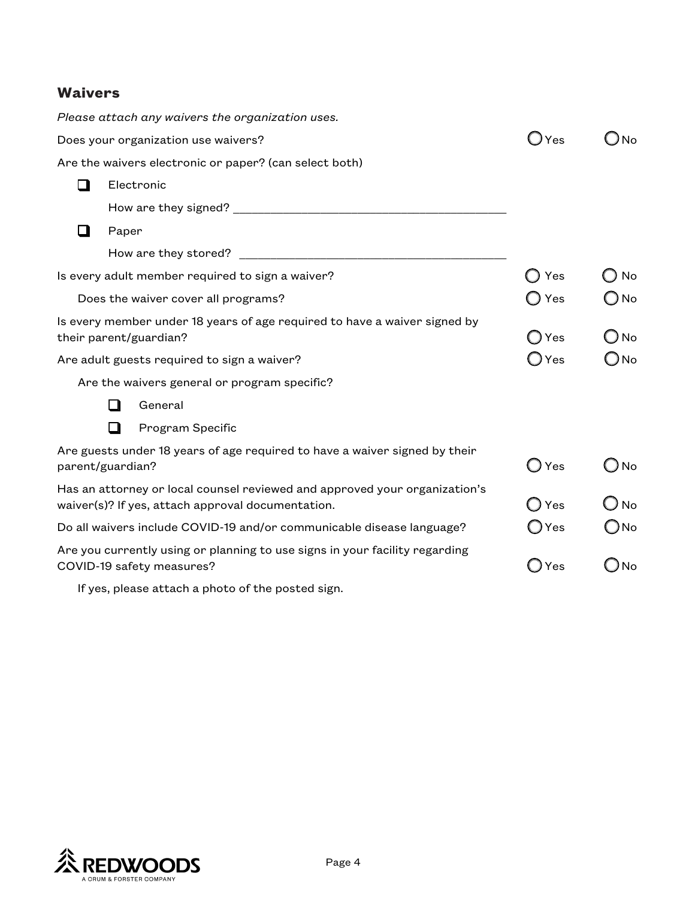### **Waivers**

|        | Please attach any waivers the organization uses.                                                                                |                |               |
|--------|---------------------------------------------------------------------------------------------------------------------------------|----------------|---------------|
|        | Does your organization use waivers?                                                                                             | J Yes          | Nο            |
|        | Are the waivers electronic or paper? (can select both)                                                                          |                |               |
| l 11   | Electronic                                                                                                                      |                |               |
|        |                                                                                                                                 |                |               |
| $\Box$ | Paper                                                                                                                           |                |               |
|        | How are they stored?                                                                                                            |                |               |
|        | Is every adult member required to sign a waiver?                                                                                | Yes            | No            |
|        | Does the waiver cover all programs?                                                                                             | Yes            | $\bigcirc$ No |
|        | Is every member under 18 years of age required to have a waiver signed by<br>their parent/guardian?                             | ◯ Yes          | $\bigcirc$ No |
|        | Are adult guests required to sign a waiver?                                                                                     | $\bigcup$ Yes  | ⊃No           |
|        | Are the waivers general or program specific?                                                                                    |                |               |
|        | General<br>H                                                                                                                    |                |               |
|        | П<br>Program Specific                                                                                                           |                |               |
|        | Are guests under 18 years of age required to have a waiver signed by their<br>parent/guardian?                                  | ◯ Yes          | _) No         |
|        | Has an attorney or local counsel reviewed and approved your organization's<br>waiver(s)? If yes, attach approval documentation. | $\bigcirc$ Yes | $\bigcirc$ No |
|        | Do all waivers include COVID-19 and/or communicable disease language?                                                           | $\bigcirc$ Yes | $\bigcirc$ No |
|        | Are you currently using or planning to use signs in your facility regarding<br>COVID-19 safety measures?                        | $\bigcirc$ Yes | ⊃No           |
|        | If yes, please attach a photo of the posted sign.                                                                               |                |               |

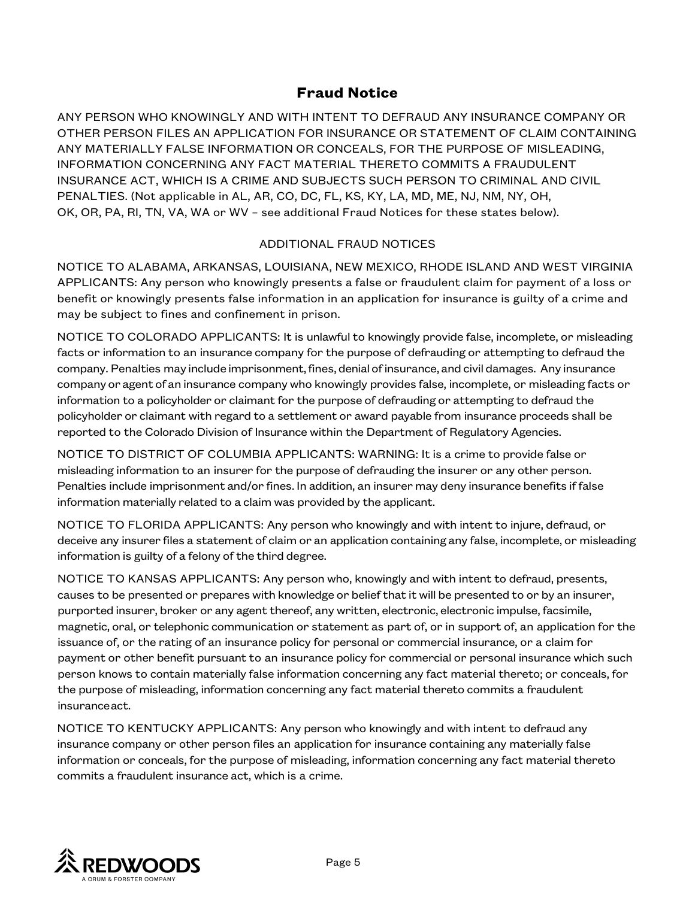#### **Fraud Notice**

ANY PERSON WHO KNOWINGLY AND WITH INTENT TO DEFRAUD ANY INSURANCE COMPANY OR OTHER PERSON FILES AN APPLICATION FOR INSURANCE OR STATEMENT OF CLAIM CONTAINING ANY MATERIALLY FALSE INFORMATION OR CONCEALS, FOR THE PURPOSE OF MISLEADING, INFORMATION CONCERNING ANY FACT MATERIAL THERETO COMMITS A FRAUDULENT INSURANCE ACT, WHICH IS A CRIME AND SUBJECTS SUCH PERSON TO CRIMINAL AND CIVIL PENALTIES. (Not applicable in AL, AR, CO, DC, FL, KS, KY, LA, MD, ME, NJ, NM, NY, OH, OK, OR, PA, RI, TN, VA, WA or WV – see additional Fraud Notices for these states below).

#### ADDITIONAL FRAUD NOTICES

NOTICE TO ALABAMA, ARKANSAS, LOUISIANA, NEW MEXICO, RHODE ISLAND AND WEST VIRGINIA APPLICANTS: Any person who knowingly presents a false or fraudulent claim for payment of a loss or benefit or knowingly presents false information in an application for insurance is guilty of a crime and may be subject to fines and confinement in prison.

NOTICE TO COLORADO APPLICANTS: It is unlawful to knowingly provide false, incomplete, or misleading facts or information to an insurance company for the purpose of defrauding or attempting to defraud the company. Penalties may include imprisonment, fines, denial of insurance, and civil damages. Any insurance company or agent of an insurance company who knowingly provides false, incomplete, or misleading facts or information to a policyholder or claimant for the purpose of defrauding or attempting to defraud the policyholder or claimant with regard to a settlement or award payable from insurance proceeds shall be reported to the Colorado Division of Insurance within the Department of Regulatory Agencies.

NOTICE TO DISTRICT OF COLUMBIA APPLICANTS: WARNING: It is a crime to provide false or misleading information to an insurer for the purpose of defrauding the insurer or any other person. Penalties include imprisonment and/or fines. In addition, an insurer may deny insurance benefits if false information materially related to a claim was provided by the applicant.

NOTICE TO FLORIDA APPLICANTS: Any person who knowingly and with intent to injure, defraud, or deceive any insurer files a statement of claim or an application containing any false, incomplete, or misleading information is guilty of a felony of the third degree.

NOTICE TO KANSAS APPLICANTS: Any person who, knowingly and with intent to defraud, presents, causes to be presented or prepares with knowledge or belief that it will be presented to or by an insurer, purported insurer, broker or any agent thereof, any written, electronic, electronic impulse, facsimile, magnetic, oral, or telephonic communication or statement as part of, or in support of, an application for the issuance of, or the rating of an insurance policy for personal or commercial insurance, or a claim for payment or other benefit pursuant to an insurance policy for commercial or personal insurance which such person knows to contain materially false information concerning any fact material thereto; or conceals, for the purpose of misleading, information concerning any fact material thereto commits a fraudulent insuranceact.

NOTICE TO KENTUCKY APPLICANTS: Any person who knowingly and with intent to defraud any insurance company or other person files an application for insurance containing any materially false information or conceals, for the purpose of misleading, information concerning any fact material thereto commits a fraudulent insurance act, which is a crime.

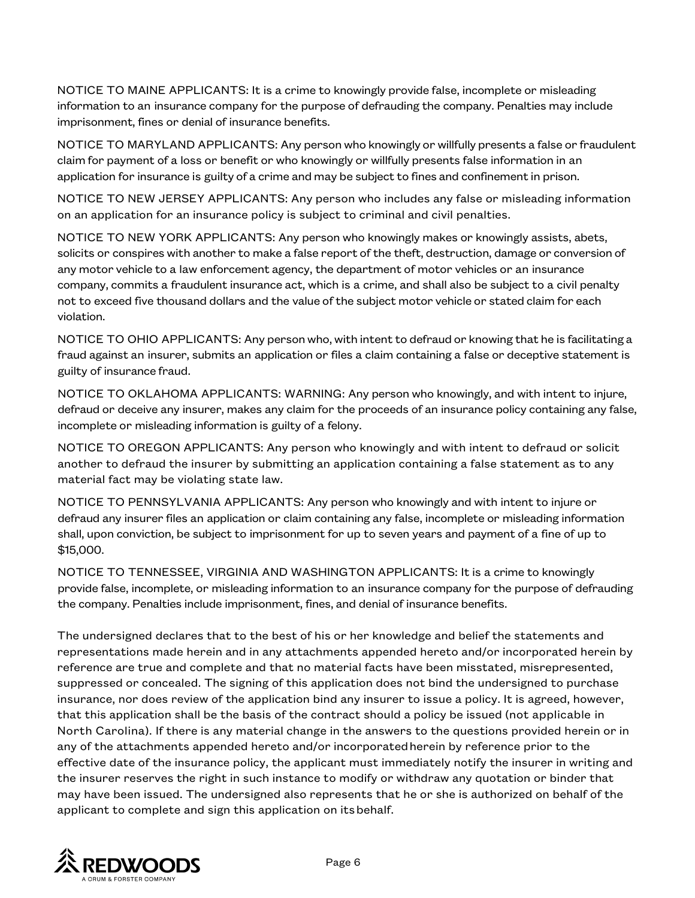NOTICE TO MAINE APPLICANTS: It is a crime to knowingly provide false, incomplete or misleading information to an insurance company for the purpose of defrauding the company. Penalties may include imprisonment, fines or denial of insurance benefits.

NOTICE TO MARYLAND APPLICANTS: Any person who knowingly or willfully presents a false or fraudulent claim for payment of a loss or benefit or who knowingly or willfully presents false information in an application for insurance is guilty of a crime and may be subject to fines and confinement in prison.

NOTICE TO NEW JERSEY APPLICANTS: Any person who includes any false or misleading information on an application for an insurance policy is subject to criminal and civil penalties.

NOTICE TO NEW YORK APPLICANTS: Any person who knowingly makes or knowingly assists, abets, solicits or conspires with another to make a false report of the theft, destruction, damage or conversion of any motor vehicle to a law enforcement agency, the department of motor vehicles or an insurance company, commits a fraudulent insurance act, which is a crime, and shall also be subject to a civil penalty not to exceed five thousand dollars and the value of the subject motor vehicle or stated claim for each violation.

NOTICE TO OHIO APPLICANTS: Any person who, with intent to defraud or knowing that he is facilitating a fraud against an insurer, submits an application or files a claim containing a false or deceptive statement is guilty of insurance fraud.

NOTICE TO OKLAHOMA APPLICANTS: WARNING: Any person who knowingly, and with intent to injure, defraud or deceive any insurer, makes any claim for the proceeds of an insurance policy containing any false, incomplete or misleading information is guilty of a felony.

NOTICE TO OREGON APPLICANTS: Any person who knowingly and with intent to defraud or solicit another to defraud the insurer by submitting an application containing a false statement as to any material fact may be violating state law.

NOTICE TO PENNSYLVANIA APPLICANTS: Any person who knowingly and with intent to injure or defraud any insurer files an application or claim containing any false, incomplete or misleading information shall, upon conviction, be subject to imprisonment for up to seven years and payment of a fine of up to \$15,000.

NOTICE TO TENNESSEE, VIRGINIA AND WASHINGTON APPLICANTS: It is a crime to knowingly provide false, incomplete, or misleading information to an insurance company for the purpose of defrauding the company. Penalties include imprisonment, fines, and denial of insurance benefits.

The undersigned declares that to the best of his or her knowledge and belief the statements and representations made herein and in any attachments appended hereto and/or incorporated herein by reference are true and complete and that no material facts have been misstated, misrepresented, suppressed or concealed. The signing of this application does not bind the undersigned to purchase insurance, nor does review of the application bind any insurer to issue a policy. It is agreed, however, that this application shall be the basis of the contract should a policy be issued (not applicable in North Carolina). If there is any material change in the answers to the questions provided herein or in any of the attachments appended hereto and/or incorporatedherein by reference prior to the effective date of the insurance policy, the applicant must immediately notify the insurer in writing and the insurer reserves the right in such instance to modify or withdraw any quotation or binder that may have been issued. The undersigned also represents that he or she is authorized on behalf of the applicant to complete and sign this application on itsbehalf.